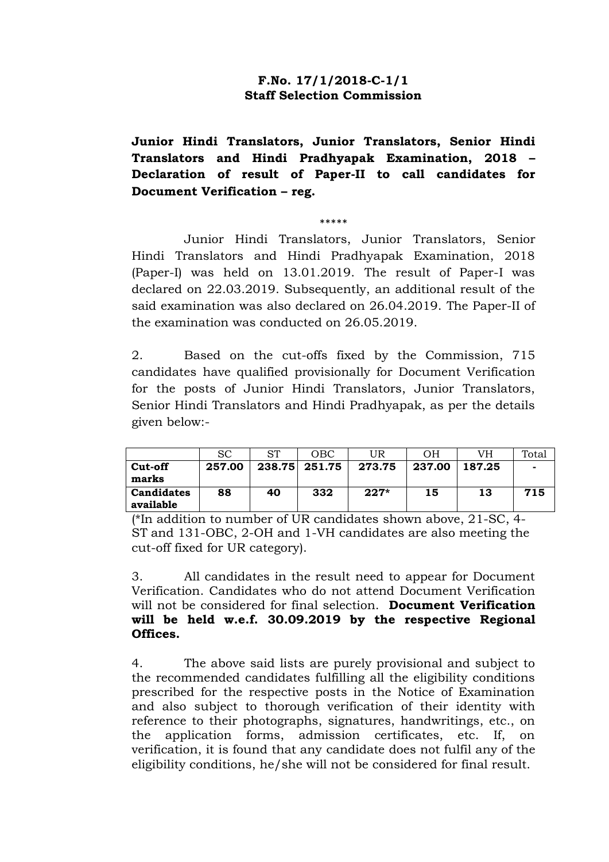## **F.No. 17/1/2018-C-1/1 Staff Selection Commission**

**Junior Hindi Translators, Junior Translators, Senior Hindi Translators and Hindi Pradhyapak Examination, 2018 – Declaration of result of Paper-II to call candidates for Document Verification – reg.**

\*\*\*\*\*

Junior Hindi Translators, Junior Translators, Senior Hindi Translators and Hindi Pradhyapak Examination, 2018 (Paper-I) was held on 13.01.2019. The result of Paper-I was declared on 22.03.2019. Subsequently, an additional result of the said examination was also declared on 26.04.2019. The Paper-II of the examination was conducted on 26.05.2019.

2. Based on the cut-offs fixed by the Commission, 715 candidates have qualified provisionally for Document Verification for the posts of Junior Hindi Translators, Junior Translators, Senior Hindi Translators and Hindi Pradhyapak, as per the details given below:-

|                                | <sub>SC</sub> | ST | OBC.          | UR     | OН     | VH     | Total |
|--------------------------------|---------------|----|---------------|--------|--------|--------|-------|
| Cut-off<br>marks               | 257.00        |    | 238.75 251.75 | 273.75 | 237.00 | 187.25 |       |
| <b>Candidates</b><br>available | 88            | 40 | 332           | $227*$ | 15     | 13     | 715   |

(\*In addition to number of UR candidates shown above, 21-SC, 4- ST and 131-OBC, 2-OH and 1-VH candidates are also meeting the cut-off fixed for UR category).

3. All candidates in the result need to appear for Document Verification. Candidates who do not attend Document Verification will not be considered for final selection. **Document Verification will be held w.e.f. 30.09.2019 by the respective Regional Offices.**

4. The above said lists are purely provisional and subject to the recommended candidates fulfilling all the eligibility conditions prescribed for the respective posts in the Notice of Examination and also subject to thorough verification of their identity with reference to their photographs, signatures, handwritings, etc., on the application forms, admission certificates, etc. If, on verification, it is found that any candidate does not fulfil any of the eligibility conditions, he/she will not be considered for final result.